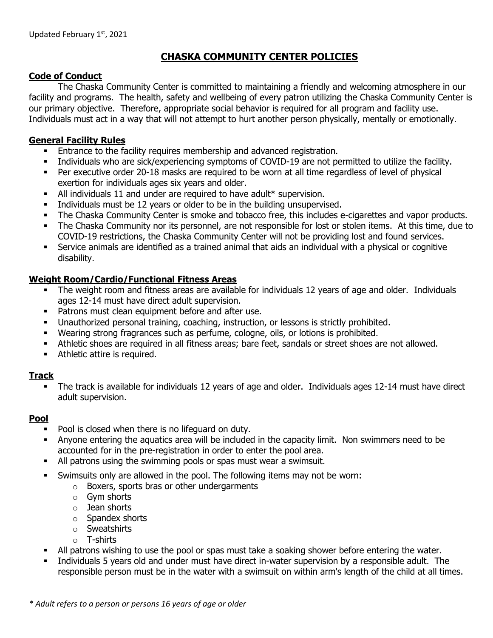# **CHASKA COMMUNITY CENTER POLICIES**

# **Code of Conduct**

The Chaska Community Center is committed to maintaining a friendly and welcoming atmosphere in our facility and programs. The health, safety and wellbeing of every patron utilizing the Chaska Community Center is our primary objective. Therefore, appropriate social behavior is required for all program and facility use. Individuals must act in a way that will not attempt to hurt another person physically, mentally or emotionally.

## **General Facility Rules**

- **Entrance to the facility requires membership and advanced registration.**
- Individuals who are sick/experiencing symptoms of COVID-19 are not permitted to utilize the facility.
- Per executive order 20-18 masks are required to be worn at all time regardless of level of physical exertion for individuals ages six years and older.
- All individuals 11 and under are required to have adult\* supervision.
- Individuals must be 12 years or older to be in the building unsupervised.
- **•** The Chaska Community Center is smoke and tobacco free, this includes e-cigarettes and vapor products.
- The Chaska Community nor its personnel, are not responsible for lost or stolen items. At this time, due to COVID-19 restrictions, the Chaska Community Center will not be providing lost and found services.
- Service animals are identified as a trained animal that aids an individual with a physical or cognitive disability.

# **Weight Room/Cardio/Functional Fitness Areas**

- The weight room and fitness areas are available for individuals 12 years of age and older. Individuals ages 12-14 must have direct adult supervision.
- Patrons must clean equipment before and after use.
- Unauthorized personal training, coaching, instruction, or lessons is strictly prohibited.
- Wearing strong fragrances such as perfume, cologne, oils, or lotions is prohibited.
- Athletic shoes are required in all fitness areas; bare feet, sandals or street shoes are not allowed.
- **•** Athletic attire is required.

# **Track**

▪ The track is available for individuals 12 years of age and older. Individuals ages 12-14 must have direct adult supervision.

#### **Pool**

- Pool is closed when there is no lifeguard on duty.
- **EXT** Anyone entering the aquatics area will be included in the capacity limit. Non swimmers need to be accounted for in the pre-registration in order to enter the pool area.
- All patrons using the swimming pools or spas must wear a swimsuit.
- Swimsuits only are allowed in the pool. The following items may not be worn:
	- o Boxers, sports bras or other undergarments
	- o Gym shorts
	- o Jean shorts
	- o Spandex shorts
	- o Sweatshirts
	- o T-shirts
- All patrons wishing to use the pool or spas must take a soaking shower before entering the water.
- Individuals 5 years old and under must have direct in-water supervision by a responsible adult. The responsible person must be in the water with a swimsuit on within arm's length of the child at all times.